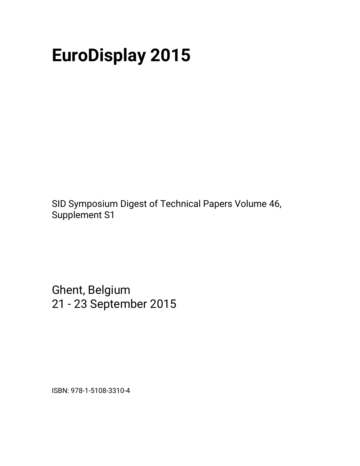# **EuroDisplay 2015**

SID Symposium Digest of Technical Papers Volume 46, Supplement S1

Ghent, Belgium 21 - 23 September 2015

ISBN: 978-1-5108-3310-4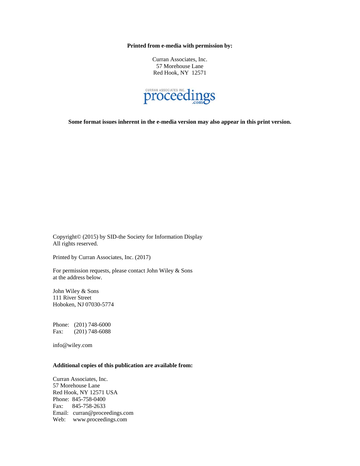**Printed from e-media with permission by:** 

Curran Associates, Inc. 57 Morehouse Lane Red Hook, NY 12571



**Some format issues inherent in the e-media version may also appear in this print version.** 

Copyright© (2015) by SID-the Society for Information Display All rights reserved.

Printed by Curran Associates, Inc. (2017)

For permission requests, please contact John Wiley & Sons at the address below.

John Wiley & Sons 111 River Street Hoboken, NJ 07030-5774

Phone: (201) 748-6000 Fax: (201) 748-6088

info@wiley.com

#### **Additional copies of this publication are available from:**

Curran Associates, Inc. 57 Morehouse Lane Red Hook, NY 12571 USA Phone: 845-758-0400 Fax: 845-758-2633 Email: curran@proceedings.com Web: www.proceedings.com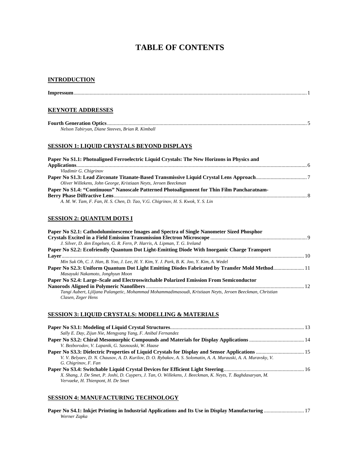## **TABLE OF CONTENTS**

#### **INTRODUCTION**

| <b>KEYNOTE ADDRESSES</b>                                                                                            |  |
|---------------------------------------------------------------------------------------------------------------------|--|
| Nelson Tabiryan, Diane Steeves, Brian R. Kimball                                                                    |  |
| <b>SESSION 1: LIQUID CRYSTALS BEYOND DISPLAYS</b>                                                                   |  |
| Paper No S1.1: Photoaligned Ferroelectric Liquid Crystals: The New Horizons in Physics and<br>Vladimir G. Chigrinov |  |
| Oliver Willekens, John George, Kristiaan Neyts, Jeroen Beeckman                                                     |  |
| Paper No S1.4: "Continuous" Nanoscale Patterned Photoalignment for Thin Film Pancharatnam-                          |  |

*A. M. W. Tam, F. Fan, H. S. Chen, D. Tao, V.G. Chigrinov, H. S. Kwok, Y. S. Lin* 

## **SESSION 2: QUANTUM DOTS I**

| Paper No S2.1: Cathodoluminescence Images and Spectra of Single Nanometer Sized Phosphor                                          |  |
|-----------------------------------------------------------------------------------------------------------------------------------|--|
|                                                                                                                                   |  |
| J. Silver, D. den Engelsen, G. R. Fern, P. Harris, A. Lipman, T. G. Ireland                                                       |  |
| Paper No S2.2: Ecofriendly Quantum Dot Light-Emitting Diode With Inorganic Charge Transport                                       |  |
|                                                                                                                                   |  |
| Min Suk Oh, C. J. Han, B. Yoo, J. Lee, H. Y. Kim, Y. J. Park, B. K. Joo, Y. Kim, A. Wedel                                         |  |
| Paper No S2.3: Uniform Quantum Dot Light Emitting Diodes Fabricated by Transfer Mold Method11<br>Masayuki Nakamoto, Jonghyun Moon |  |
| Paper No S2.4: Large–Scale and Electroswitchable Polarized Emission From Semiconductor                                            |  |
|                                                                                                                                   |  |
| Tangi Aubert, Ljiljana Palangetic, Mohammad Mohammadimasoudi, Kristiaan Neyts, Jeroen Beeckman, Christian<br>Clasen, Zeger Hens   |  |

#### **SESSION 3: LIQUID CRYSTALS: MODELLING & MATERIALS**

| Sally E. Day, Zijun Nie, Mengyang Yang, F. Anibal Fernandez                                                                                        |  |
|----------------------------------------------------------------------------------------------------------------------------------------------------|--|
|                                                                                                                                                    |  |
| V. Bezborodov, V. Lapanik, G. Sasnouski, W. Haase                                                                                                  |  |
|                                                                                                                                                    |  |
| V. V. Belyaev, D. N. Chausov, A. D. Kurilov, D. O. Rybakov, A. S. Solomatin, A. A. Murauski, A. A. Muravsky, V.                                    |  |
| G. Chigrinov, F. Fan                                                                                                                               |  |
|                                                                                                                                                    |  |
| X. Shang, J. De Smet, P. Joshi, D. Cuypers, J. Tan, O. Willekens, J. Beeckman, K. Neyts, T. Baghdasaryan, M.<br>Vervaeke, H. Thienpont, H. De Smet |  |

#### **SESSION 4: MANUFACTURING TECHNOLOGY**

| Werner Zapka |  |
|--------------|--|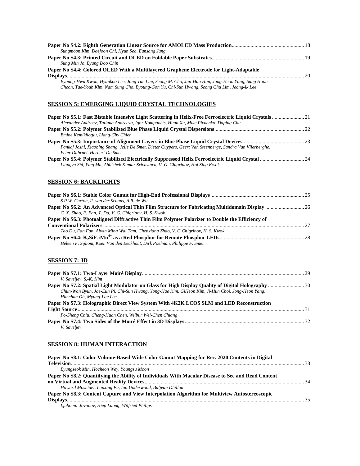| Sungmoon Kim, Daejoon Chi, Hyun Seo, Eunsang Jung                                                                                                                                                |  |
|--------------------------------------------------------------------------------------------------------------------------------------------------------------------------------------------------|--|
|                                                                                                                                                                                                  |  |
| Sung Min Jo, Byung Doo Chin                                                                                                                                                                      |  |
| Paper No S4.4: Colored OLED With a Multilayered Graphene Electrode for Light-Adaptable                                                                                                           |  |
|                                                                                                                                                                                                  |  |
| Byoung-Hwa Kwon, Hyunkoo Lee, Jong Tae Lim, Seong M. Cho, Jun-Han Han, Jong-Heon Yang, Sang Hoon<br>Cheon, Tae-Youb Kim, Nam Sung Cho, Byoung-Gon Yu, Chi-Sun Hwang, Seong Chu Lim, Jeong-Ik Lee |  |

## **SESSION 5: EMERGING LIQUID CRYSTAL TECHNOLOGIES**

| Alexander Andreev, Tatiana Andreeva, Igor Kompanets, Huan Xu, Mike Pivnenko, Daping Chu                    |  |
|------------------------------------------------------------------------------------------------------------|--|
|                                                                                                            |  |
|                                                                                                            |  |
| Emine Kemiklioglu, Liang-Chy Chien                                                                         |  |
|                                                                                                            |  |
| Pankaj Joshi, Xiaobing Shang, Jelle De Smet, Dieter Cuypers, Geert Van Steenberge, Sandra Van Vlierberghe, |  |
| Peter Dubruel, Herbert De Smet                                                                             |  |
| Liangyu Shi, Ying Ma, Abhishek Kumar Srivastava, V. G. Chigrinov, Hoi Sing Kwok                            |  |

## **SESSION 6: BACKLIGHTS**

| S.P.W. Carton, F. van der Schans, A.R. de Wit                                                   |  |
|-------------------------------------------------------------------------------------------------|--|
|                                                                                                 |  |
| C. X. Zhao, F. Fan, T. Du, V. G. Chigrinov, H. S. Kwok                                          |  |
| Paper No S6.3: Photoaligned Diffractive Thin Film Polymer Polarizer to Double the Efficiency of |  |
|                                                                                                 |  |
| Tao Du, Fan Fan, Alwin Ming Wai Tam, Chenxiang Zhao, V. G Chigrinov, H. S. Kwok                 |  |
|                                                                                                 |  |
| Heleen F. Sijbom, Koen Van den Eeckhout, Dirk Poelman, Philippe F. Smet                         |  |

#### **SESSION 7: 3D**

| V. Saveljev, S.-K. Kim                                                                           |      |
|--------------------------------------------------------------------------------------------------|------|
|                                                                                                  |      |
| Chun-Won Byun, Jae-Eun Pi, Chi-Sun Hwang, Yong-Hae Kim, GiHeon Kim, Ji-Hun Choi, Jong-Heon Yang, |      |
| Himchan Oh, Myung-Lae Lee                                                                        |      |
| Paper No S7.3: Holographic Direct View System With 4K2K LCOS SLM and LED Reconstruction          |      |
|                                                                                                  | - 31 |
| Po-Sheng Chiu, Cheng-Huan Chen, Wilbur Wei-Chen Chiang                                           |      |
|                                                                                                  |      |
| V. Saveljev                                                                                      |      |

#### **SESSION 8: HUMAN INTERACTION**

| Paper No S8.1: Color Volume-Based Wide Color Gamut Mapping for Rec. 2020 Contents in Digital       |  |
|----------------------------------------------------------------------------------------------------|--|
|                                                                                                    |  |
| Byungseok Min, Hocheon Wey, Youngsu Moon                                                           |  |
| Paper No S8.2: Quantifying the Ability of Individuals With Macular Disease to See and Read Content |  |
|                                                                                                    |  |
| Howard Moshtael, Lanxing Fu, Ian Underwood, Baljean Dhillon                                        |  |
| Paper No S8.3: Content Capture and View Interpolation Algorithm for Multiview Autostereoscopic     |  |
|                                                                                                    |  |
| Liubomir Iovanov, Hien Luong, Wilfried Philips                                                     |  |

*Ljubomir Jovanov, Hiep Luong, Wilfried Philips*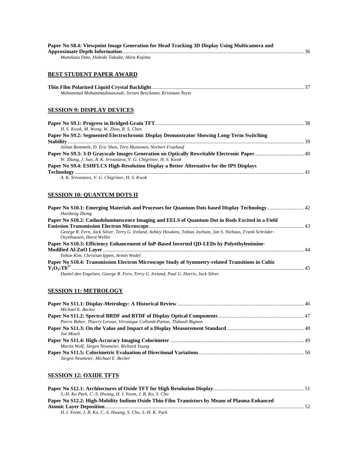| Paper No S8.4: Viewpoint Image Generation for Head Tracking 3D Display Using Multicamera and                                               |  |
|--------------------------------------------------------------------------------------------------------------------------------------------|--|
| Munekazu Date, Hideaki Takada, Akira Kojima                                                                                                |  |
| <b>BEST STUDENT PAPER AWARD</b>                                                                                                            |  |
| Mohammad Mohammadimasoudi, Jeroen Beeckman, Kristiaan Neyts                                                                                |  |
| <b>SESSION 9: DISPLAY DEVICES</b>                                                                                                          |  |
|                                                                                                                                            |  |
| H. S. Kwok, M. Wong, W. Zhou, R. S. Chen                                                                                                   |  |
| Paper No S9.2: Segmented Electrochromic Display Demonstrator Showing Long-Term Switching                                                   |  |
| Julian Remmele, D. Eric Shen, Tero Mustonen, Norbert Fruehauf                                                                              |  |
|                                                                                                                                            |  |
| W. Zhang, J. Sun, A. K. Srivastava, V. G. Chigrinov, H. S. Kwok                                                                            |  |
| Paper No S9.4: ESHFLCS High-Resolution Display a Better Alternative for the IPS Displays                                                   |  |
| A. K. Srivastava, V. G. Chigrinov, H. S. Kwok                                                                                              |  |
| <u>SESSION 10: QUANTUM DOTS II</u>                                                                                                         |  |
| Haizheng Zhong                                                                                                                             |  |
| Paper No S10.2: Cathodoluminescence Imaging and EELS of Quantum Dot in Rods Excited in a Field                                             |  |
|                                                                                                                                            |  |
| George R. Fern, Jack Silver, Terry G. Ireland, Ashley Howkins, Tobias Jochum, Jan S. Niehaus, Frank Schröder-<br>Oeynhausen, Horst Weller  |  |
| Paper No S10.3: Efficiency Enhancement of InP-Based Inverted QD-LEDs by Polyethylenimine-                                                  |  |
|                                                                                                                                            |  |
| Yohan Kim, Christian Ippen, Armin Wedel<br>Paper No S10.4: Transmission Electron Microscope Study of Symmetry-related Transitions in Cubic |  |
|                                                                                                                                            |  |
| Daniel den Engelsen, George R. Fern, Terry G. Ireland, Paul G. Harris, Jack Silver                                                         |  |
|                                                                                                                                            |  |
| <b>SESSION 11: METROLOGY</b>                                                                                                               |  |

| Michael E. Becker                                                       |  |
|-------------------------------------------------------------------------|--|
|                                                                         |  |
| Pierre Boher, Thierry Leroux, Véronique Collomb-Patton, Thibault Bignon |  |
|                                                                         |  |
| Joe Miseli                                                              |  |
|                                                                         |  |
| Martin Wolf, Jürgen Neumeier, Richard Young                             |  |
|                                                                         |  |
| Jürgen Neumeier, Michael E. Becker                                      |  |
|                                                                         |  |

## **SESSION 12: OXIDE TFTS**

| S.-H. Ko Park, C.-S. Hwang, H. I. Yeom, J. B. Ko, S. Cho                                     |  |
|----------------------------------------------------------------------------------------------|--|
| Paper No S12.2: High-Mobility Indium Oxide Thin-Film Transistors by Means of Plasma-Enhanced |  |
|                                                                                              |  |
| H. I. Yeom, J. B. Ko, C.-S. Hwang, S. Cho, S.-H. K. Park                                     |  |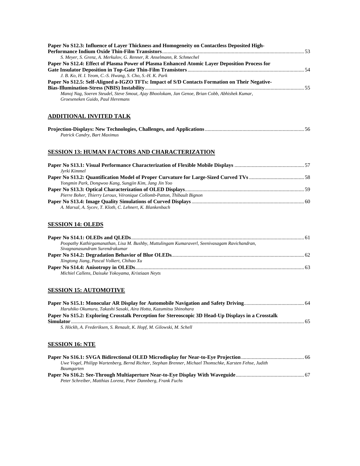| Paper No S12.3: Influence of Layer Thickness and Homogeneity on Contactless Deposited High-    |  |
|------------------------------------------------------------------------------------------------|--|
|                                                                                                |  |
| S. Meyer, S. Grenz, A. Merkulov, G. Renner, R. Anselmann, R. Schmechel                         |  |
| Paper No S12.4: Effect of Plasma Power of Plasma Enhanced Atomic Layer Deposition Process for  |  |
|                                                                                                |  |
| J. B. Ko, H. I. Yeom, C.-S. Hwang, S. Cho, S.-H. K. Park                                       |  |
| Paper No S12.5: Self-Aligned a-IGZO TFTs: Impact of S/D Contacts Formation on Their Negative-  |  |
|                                                                                                |  |
| Manoj Nag, Soeren Steudel, Steve Smout, Ajay Bhoolokam, Jan Genoe, Brian Cobb, Abhishek Kumar, |  |
| Groeseneken Guido, Paul Heremans                                                               |  |

## **ADDITIONAL INVITED TALK**

| Patrick Candry, Bart Maximus |  |
|------------------------------|--|

## **SESSION 13: HUMAN FACTORS AND CHARACTERIZATION**

| Jyrki Kimmel                                                            |  |
|-------------------------------------------------------------------------|--|
|                                                                         |  |
| Yongmin Park, Dongwoo Kang, Sungjin Kim, Jang Jin Yoo                   |  |
|                                                                         |  |
| Pierre Boher, Thierry Leroux, Véronique Collomb-Patton, Thibault Bignon |  |
|                                                                         |  |
| A. Marsal, A. Sycev, T. Kloth, C. Lehnert, K. Blankenbach               |  |

#### **SESSION 14: OLEDS**

| Poopathy Kathirgamanathan, Lisa M. Bushby, Muttulingam Kumaraverl, Seenivasagam Ravichandran, |  |
|-----------------------------------------------------------------------------------------------|--|
| Sivagnanasundram Surendrakumar                                                                |  |
|                                                                                               |  |
| Xingtong Jiang, Pascal Volkert, Chihao Xu                                                     |  |
|                                                                                               |  |
| Michiel Callens, Daisuke Yokoyama, Kristiaan Neyts                                            |  |

## **SESSION 15: AUTOMOTIVE**

| Haruhiko Okumura, Takashi Sasaki, Aira Hotta, Kazumitsu Shinohara                                  |  |
|----------------------------------------------------------------------------------------------------|--|
| Paper No S15.2: Exploring Crosstalk Perception for Stereoscopic 3D Head-Up Displays in a Crosstalk |  |
| S. Höckh, A. Frederiksen, S. Renault, K. Hopf, M. Gilowski, M. Schell                              |  |

## **SESSION 16: NTE**

| Uwe Vogel, Philipp Wartenberg, Bernd Richter, Stephan Brenner, Michael Thomschke, Karsten Fehse, Judith |  |
|---------------------------------------------------------------------------------------------------------|--|
| <b>Baumgarten</b>                                                                                       |  |
|                                                                                                         |  |
| Peter Schreiber, Matthias Lorenz, Peter Dannberg, Frank Fuchs                                           |  |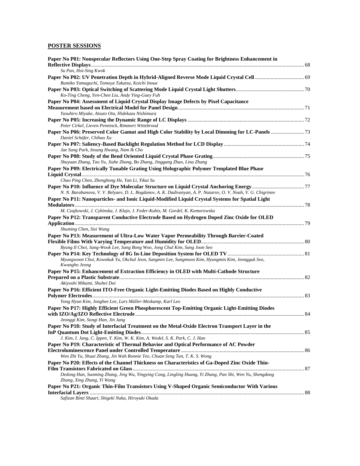### **POSTER SESSIONS**

| Paper No P01: Nonspecular Reflectors Using One-Step Spray Coating for Brightness Enhancement in                                       |  |
|---------------------------------------------------------------------------------------------------------------------------------------|--|
| Su Pan, Hoi-Sing Kwok                                                                                                                 |  |
| Rumiko Yamaguchi, Tomoya Takatsu, Koichi Inoue                                                                                        |  |
| Ko-Ting Cheng, Yen-Chen Liu, Andy Ying-Guey Fuh                                                                                       |  |
| Paper No P04: Assessment of Liquid Crystal Display Image Defects by Pixel Capacitance                                                 |  |
|                                                                                                                                       |  |
| Yasuhiro Miyake, Atsuto Ota, Hidekazu Nishimura                                                                                       |  |
|                                                                                                                                       |  |
| Peter Cirkel, Lieven Penninck, Rimmert Wittebrood                                                                                     |  |
|                                                                                                                                       |  |
| Daniel Schäfer, Chihao Xu                                                                                                             |  |
| Jae Sung Park, Insung Hwang, Nam Ik Cho                                                                                               |  |
|                                                                                                                                       |  |
| Shuyuan Zhang, Tao Yu, Jiahe Zhang, Bo Zhang, Jinggang Zhao, Lina Zhang                                                               |  |
| Paper No P09: Electrically Tunable Grating Using Holographic Polymer Templated Blue Phase                                             |  |
|                                                                                                                                       |  |
| Chao Ping Chen, Zhenghong He, Yan Li, Yikai Su                                                                                        |  |
|                                                                                                                                       |  |
| N. N. Barabanova, V. V. Belyaev, D. L. Bogdanov, A. K. Dadivanyan, A. P. Nazarov, O. V. Noah, V. G. Chigrinov                         |  |
| Paper No P11: Nanoparticles- and Ionic Liquid-Modified Liquid Crystal Systems for Spatial Light                                       |  |
|                                                                                                                                       |  |
| M. Czajkowski, J. Cybinska, J. Klajn, J. Feder-Kubis, M. Gordel, K. Komorowska                                                        |  |
| Paper No P12: Transparent Conductive Electrode Based on Hydrogen Doped Zinc Oxide for OLED                                            |  |
| Shuming Chen, Sisi Wang                                                                                                               |  |
| Paper No P13: Measurement of Ultra-Low Water Vapor Permeability Through Barrier-Coated                                                |  |
|                                                                                                                                       |  |
| Byung Il Choi, Sang-Wook Lee, Sang Bong Woo, Jong Chul Kim, Sang Joon Seo                                                             |  |
|                                                                                                                                       |  |
| Myungwoon Choi, Kownkuk Yu, Okchul Jeon, Sangmin Lee, Sungmoon Kim, Hyungmin Kim, Jeongguk Seo,<br>Kwangho Jeong                      |  |
| Paper No P15: Enhancement of Extraction Efficiency in OLED with Multi-Cathode Structure                                               |  |
| Akiyoshi Mikami, Shuhei Doi                                                                                                           |  |
| Paper No P16: Efficient ITO-Free Organic Light-Emitting Diodes Based on Highly Conductive                                             |  |
|                                                                                                                                       |  |
| Yong Hyun Kim, Jonghee Lee, Lars Müller-Meskamp, Karl Leo                                                                             |  |
| Paper No P17: Highly Efficient Green Phosphorescent Top-Emitting Organic Light-Emitting Diodes                                        |  |
| Jeonggi Kim, Songi Han, Jin Jang                                                                                                      |  |
| Paper No P18: Study of Interfacial Treatment on the Metal-Oxide Electron Transport Layer in the                                       |  |
|                                                                                                                                       |  |
| J. Kim, I. Jang, C. Ippen, Y. Kim, W. K. Kim, A. Wedel, S. K. Park, C. J. Han                                                         |  |
| Paper No P19: Characteristic of Thermal Behavior and Optical Performance of AC Powder                                                 |  |
|                                                                                                                                       |  |
| Wen Zhi Yu, Shuai Zhang, Jin Wah Ronnie Teo, Chuan Seng Tan, T. K. S. Wong                                                            |  |
| Paper No P20: Effects of the Channel Thickness on Characteristics of Ga-Doped Zinc Oxide Thin-                                        |  |
|                                                                                                                                       |  |
| Dedong Han, Suoming Zhang, Jing Wu, Yingying Cong, Lingling Huang, Yi Zhang, Pan Shi, Wen Yu, Shengdong<br>Zhang, Xing Zhang, Yi Wang |  |
| Paper No P21: Organic Thin-Film Transistors Using V-Shaped Organic Semiconductor With Various                                         |  |
|                                                                                                                                       |  |
| Safizan Binti Shaari, Shigeki Naka, Hiroyuki Okada                                                                                    |  |